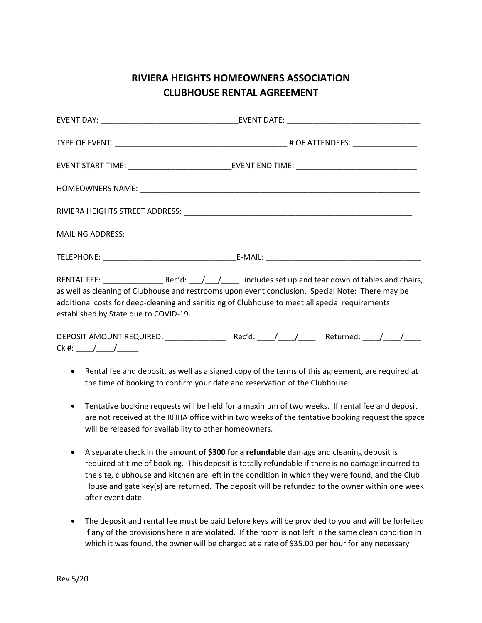## **RIVIERA HEIGHTS HOMEOWNERS ASSOCIATION CLUBHOUSE RENTAL AGREEMENT**

|  |  |  |  | EVENT START TIME: ___________________________________EVENT END TIME: ______________________________ |  |  |  |  |
|--|--|--|--|-----------------------------------------------------------------------------------------------------|--|--|--|--|
|  |  |  |  |                                                                                                     |  |  |  |  |
|  |  |  |  |                                                                                                     |  |  |  |  |
|  |  |  |  |                                                                                                     |  |  |  |  |
|  |  |  |  |                                                                                                     |  |  |  |  |
|  |  |  |  | RENTAL FEE: Rec'd: / / includes set up and tear down of tables and chairs                           |  |  |  |  |

RENTAL FEE:  $\frac{1}{\frac{1}{\sqrt{1-\frac{1}{\sqrt{1-\frac{1}{\sqrt{1-\frac{1}{\sqrt{1-\frac{1}{\sqrt{1-\frac{1}{\sqrt{1-\frac{1}{\sqrt{1-\frac{1}{\sqrt{1-\frac{1}{\sqrt{1-\frac{1}{\sqrt{1-\frac{1}{\sqrt{1-\frac{1}{\sqrt{1-\frac{1}{\sqrt{1-\frac{1}{\sqrt{1-\frac{1}{\sqrt{1-\frac{1}{\sqrt{1-\frac{1}{\sqrt{1-\frac{1}{\sqrt{1-\frac{1}{\sqrt{1-\frac{1}{\sqrt{1-\frac{1}{\sqrt{1-\frac{1}{\sqrt{1-\frac{1}{$ as well as cleaning of Clubhouse and restrooms upon event conclusion. Special Note: There may be additional costs for deep-cleaning and sanitizing of Clubhouse to meet all special requirements established by State due to COVID-19.

| DEPOSIT AMOUNT REQUIRED: | Rec'd: | Returned: |  |
|--------------------------|--------|-----------|--|
| Ck #:                    |        |           |  |

- Rental fee and deposit, as well as a signed copy of the terms of this agreement, are required at the time of booking to confirm your date and reservation of the Clubhouse.
- Tentative booking requests will be held for a maximum of two weeks. If rental fee and deposit are not received at the RHHA office within two weeks of the tentative booking request the space will be released for availability to other homeowners.
- A separate check in the amount **of \$300 for a refundable** damage and cleaning deposit is required at time of booking. This deposit is totally refundable if there is no damage incurred to the site, clubhouse and kitchen are left in the condition in which they were found, and the Club House and gate key(s) are returned. The deposit will be refunded to the owner within one week after event date.
- The deposit and rental fee must be paid before keys will be provided to you and will be forfeited if any of the provisions herein are violated. If the room is not left in the same clean condition in which it was found, the owner will be charged at a rate of \$35.00 per hour for any necessary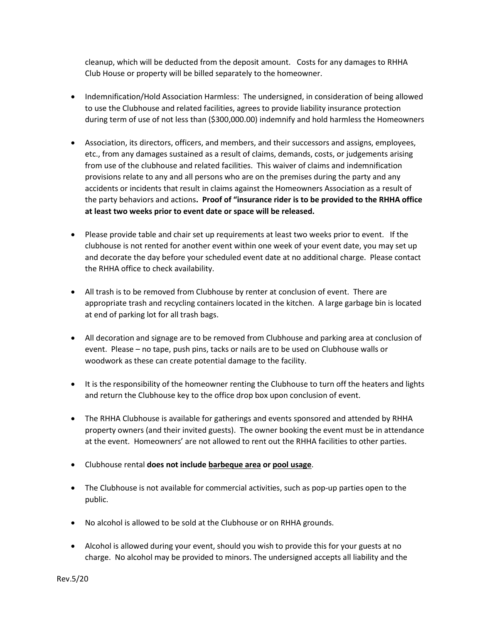cleanup, which will be deducted from the deposit amount. Costs for any damages to RHHA Club House or property will be billed separately to the homeowner.

- Indemnification/Hold Association Harmless: The undersigned, in consideration of being allowed to use the Clubhouse and related facilities, agrees to provide liability insurance protection during term of use of not less than (\$300,000.00) indemnify and hold harmless the Homeowners
- Association, its directors, officers, and members, and their successors and assigns, employees, etc., from any damages sustained as a result of claims, demands, costs, or judgements arising from use of the clubhouse and related facilities. This waiver of claims and indemnification provisions relate to any and all persons who are on the premises during the party and any accidents or incidents that result in claims against the Homeowners Association as a result of the party behaviors and actions**. Proof of "insurance rider is to be provided to the RHHA office at least two weeks prior to event date or space will be released.**
- Please provide table and chair set up requirements at least two weeks prior to event. If the clubhouse is not rented for another event within one week of your event date, you may set up and decorate the day before your scheduled event date at no additional charge. Please contact the RHHA office to check availability.
- All trash is to be removed from Clubhouse by renter at conclusion of event. There are appropriate trash and recycling containers located in the kitchen. A large garbage bin is located at end of parking lot for all trash bags.
- All decoration and signage are to be removed from Clubhouse and parking area at conclusion of event. Please – no tape, push pins, tacks or nails are to be used on Clubhouse walls or woodwork as these can create potential damage to the facility.
- It is the responsibility of the homeowner renting the Clubhouse to turn off the heaters and lights and return the Clubhouse key to the office drop box upon conclusion of event.
- The RHHA Clubhouse is available for gatherings and events sponsored and attended by RHHA property owners (and their invited guests). The owner booking the event must be in attendance at the event. Homeowners' are not allowed to rent out the RHHA facilities to other parties.
- Clubhouse rental **does not include barbeque area or pool usage**.
- The Clubhouse is not available for commercial activities, such as pop-up parties open to the public.
- No alcohol is allowed to be sold at the Clubhouse or on RHHA grounds.
- Alcohol is allowed during your event, should you wish to provide this for your guests at no charge. No alcohol may be provided to minors. The undersigned accepts all liability and the